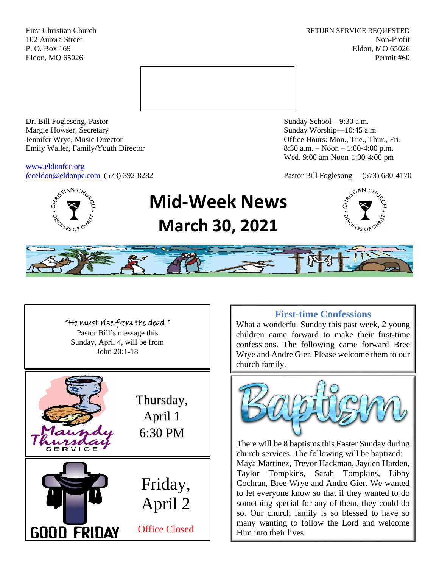First Christian Church **RETURN SERVICE REQUESTED** 102 Aurora Street Non-Profit P. O. Box 169 Eldon, MO 65026 Eldon, MO 65026 Permit #60



Dr. Bill Foglesong, Pastor Sunday School—9:30 a.m. Margie Howser, Secretary Sunday Worship—10:45 a.m. Jennifer Wrye, Music Director Office Hours: Mon., Tue., Thur., Fri. Emily Waller, Family/Youth Director 8:30 a.m. – Noon – 1:00-4:00 p.m.

[www.eldonfcc.org](http://www.eldonfcc.org/)

Wed. 9:00 am-Noon-1:00-4:00 pm

*f*[cceldon@eldonpc.com](mailto:fcceldon@eldonpc.com) (573) 392-8282 Pastor Bill Foglesong— (573) 680-4170



# **Mid-Week News March 30, 2021**







## **First-time Confessions**

What a wonderful Sunday this past week, 2 young children came forward to make their first-time confessions. The following came forward Bree Wrye and Andre Gier. Please welcome them to our church family.



There will be 8 baptisms this Easter Sunday during church services. The following will be baptized: Maya Martinez, Trevor Hackman, Jayden Harden, Taylor Tompkins, Sarah Tompkins, Libby Cochran, Bree Wrye and Andre Gier. We wanted to let everyone know so that if they wanted to do something special for any of them, they could do so. Our church family is so blessed to have so many wanting to follow the Lord and welcome Him into their lives.